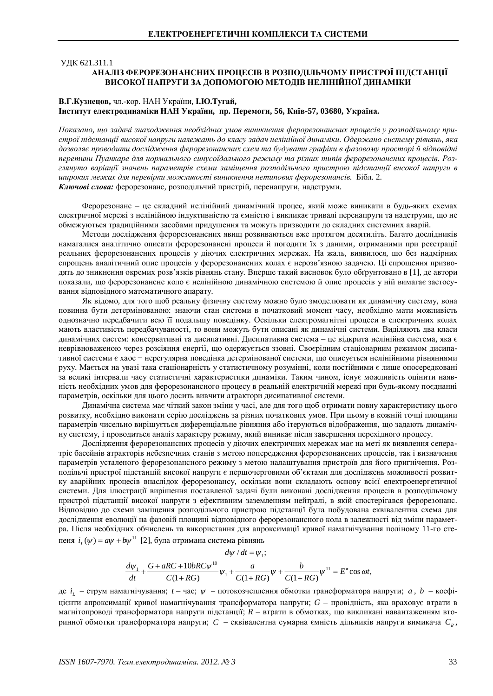ɍȾɄ 621.311.1

# АНАЛІЗ ФЕРОРЕЗОНАНСНИХ ПРОЦЕСІВ В РОЗПОДІЛЬЧОМУ ПРИСТРОЇ ПІДСТАНЦІЇ ВИСОКОЇ НАПРУГИ ЗА ЛОПОМОГОЮ МЕТОЛІВ НЕЛІНІЙНОЇ ЛИНАМІКИ

#### В.Г.Кузнецов, чл.-кор. НАН України, І.Ю.Тугай, **ȱɧɫɬɢɬɭɬɟɥɟɤɬɪɨɞɢɧɚɦɿɤɢɇȺɇɍɤɪɚʀɧɢ, ɩɪ. ɉɟɪɟɦɨɝɢ, 56, Ʉɢʀɜ-57, 03680, ɍɤɪɚʀɧɚ.**

*ɉɨɤɚɡɚɧɨ, ɳɨɡɚɞɚɱɿɡɧɚɯɨɞɠɟɧɧɹɧɟɨɛɯɿɞɧɢɯɭɦɨɜɜɢɧɢɤɧɟɧɧɹɮɟɪɨɪɟɡɨɧɚɧɫɧɢɯɩɪɨɰɟɫɿɜɭɪɨɡɩɨɞɿɥɶɱɨɦɭɩɪɢɫɬɪɨʀɩɿɞɫɬɚɧɰɿʀɜɢɫɨɤɨʀɧɚɩɪɭɝɢɧɚɥɟɠɚɬɶɞɨɤɥɚɫɭɡɚɞɚɱɧɟɥɿɧɿɣɧɨʀɞɢɧɚɦɿɤɢ. Ɉɞɟɪɠɚɧɨɫɢɫɬɟɦɭɪɿɜɧɹɧɶ, ɹɤɚ* дозволяє проводити дослідження ферорезонансних схем та будувати графіки в фазовому просторі й відповідні перетини Пуанкаре для нормального синусоїдального режиму та різних типів ферорезонансних процесів. Роз*глянуто варіації значень параметрів схеми заміщення розподільчого пристрою підстанції високої напруги в* ишроких межах для перевірки можливості виникнення нетипових ферорезонансів. Бібл. 2. Ключові слова: ферорезонанс, розподільчий пристрій, перенапруги, надструми.

Ферорезонанс – це складний нелінійний динамічний процес, який може виникати в будь-яких схемах електричної мережі з нелінійною індуктивністю та ємністю і викликає тривалі перенапруги та надструми, що не обмежуються традиційними засобами придушення та можуть призводити до складних системних аварій.

Методи дослідження ферорезонансних явищ розвиваються вже протягом десятиліть. Багато дослідників намагалися аналітично описати ферорезонансні процеси й погодити їх з даними, отриманими при реєстрації реальних ферорезонансних процесів у діючих електричних мережах. На жаль, виявилося, що без надмірних спрощень аналітичний опис процесів у ферорезонансних колах є нерозв'язною задачею. Ці спрощення призводять до зникнення окремих розв'язків рівнянь стану. Вперше такий висновок було обгрунтовано в [1], де автори показали, що ферорезонансне коло є нелінійною динамічною системою й опис процесів у ній вимагає застосування відповідного математичного апарату.

Як відомо, для того щоб реальну фізичну систему можно було змоделювати як динамічну систему, вона повинна бути детермінованою: знаючи стан системи в початковий момент часу, необхідно мати можливість однозначно передбачити всю її подальшу поведінку. Оскільки електромагнітні процеси в електричних колах мають властивість передбачуваності, то вони можуть бути описані як динамічні системи. Виділяють два класи динамічних систем: консервативні та дисипативні. Дисипативна система – це відкрита нелінійна система, яка є неврівноваженою через розсіяння енергії, що одержується ззовні. Своєрідним стаціонарним режимом дисипативної системи є хаос - нерегулярна поведінка детермінованої системи, що описується нелінійними рівняннями руху. Мається на увазі така стаціонарність у статистичному розумінні, коли постійними є лише опосередковані за великі інтервали часу статистичні характеристики динаміки. Таким чином, існує можливість оцінити наявність необхідних умов для ферорезонансного процесу в реальній електричній мережі при будь-якому поєднанні параметрів, оскільки для цього досить вивчити атрактори дисипативної системи.

Динамічна система має чіткий закон зміни у часі, але для того щоб отримати повну характеристику цього розвитку, необхідно виконати серію досліджень за різних початкових умов. При цьому в кожній точці площини параметрів чисельно вирішується диференціальне рівняння або ітеруються відображення, що задають динамічну систему, і проводиться аналіз характеру режиму, який виникає після завершення перехідного процесу.

Дослідження ферорезонансних процесів у діючих електричних мережах має на меті як виявлення сеператріс басейнів атракторів небезпечних станів з метою попередження ферорезонансних процесів, так і визначення параметрів усталеного ферорезонансного режиму з метою налаштування пристроїв для його пригнічення. Розподільчі пристрої підстанцій високої напруги є першочерговими об'єктами для досліджень можливості розвитку аварійних процесів внаслідок ферорезонансу, оскільки вони складають основу всієї електроенергетичної системи. Для ілюстрації вирішення поставленої задачі були виконані дослідження процесів в розподільчому пристрої підстанції високої напруги з ефективним заземленням нейтралі, в якій спостерігався ферорезонанс. Відповідно до схеми заміщення розподільчого пристрою підстанції була побудована еквівалентна схема для дослідження еволюції на фазовій площині відповідного ферорезонансного кола в залежності від зміни параметра. Після необхідних обчислень та використання для апроксимації кривої намагнічування поліному 11-го степеня  $i_L(\psi) = a\psi + b\psi^{11}$  [2], була отримана система рівнянь

$$
d\psi / dt = \psi_1;
$$
  
\n
$$
\frac{d\psi_1}{dt} + \frac{G + aRC + 10bRC\psi^{10}}{C(1 + RG)}\psi_1 + \frac{a}{C(1 + RG)}\psi + \frac{b}{C(1 + RG)}\psi^{11} = E'' \cos \omega t,
$$

де *i*<sub>L</sub> – струм намагнічування; *t* – час;  $\psi$  – потокозчеплення обмотки трансформатора напруги; *a*, *b* – коефі- $\Xi$ нієнти апроксимації кривої намагнічування трансформатора напруги;  $G$  – провілність, яка враховує втрати в магнітопроводі трансформатора напруги підстанції; *R* – втрати в обмотках, що викликані навантаженням вторинної обмотки трансформатора напруги;  $C$  – еквівалентна сумарна ємність дільників напруги вимикача  $\,C_{_{B}}$ ,